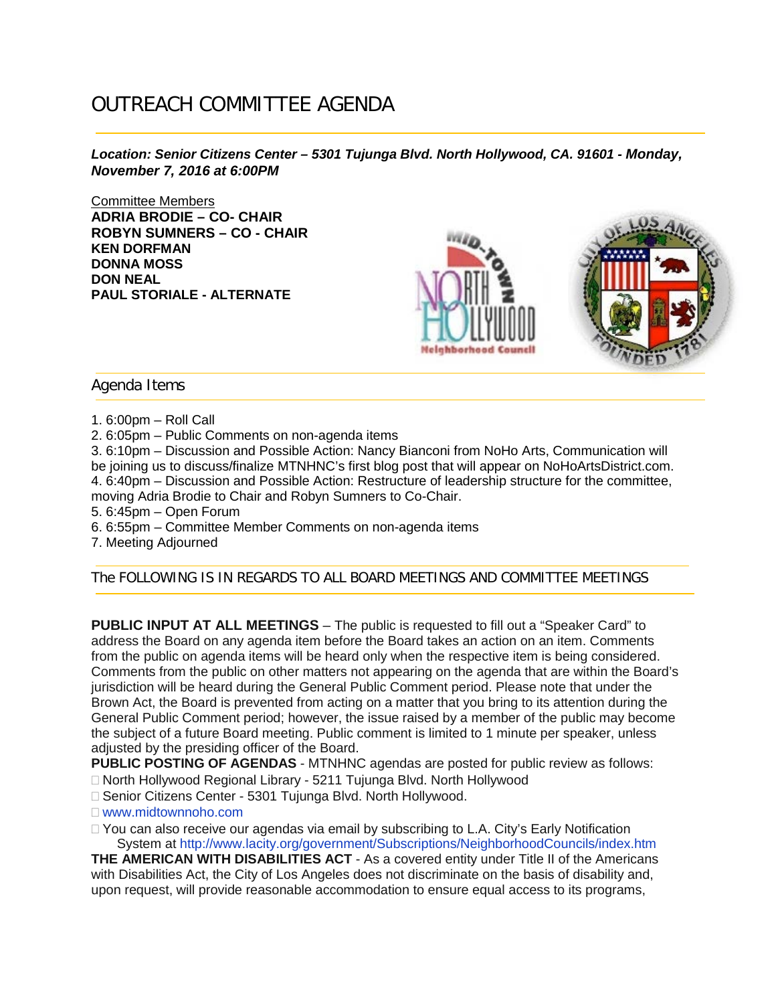## OUTREACH COMMITTEE AGENDA

*Location: Senior Citizens Center – 5301 Tujunga Blvd. North Hollywood, CA. 91601 - Monday, November 7, 2016 at 6:00PM*

Committee Members **ADRIA BRODIE – CO- CHAIR ROBYN SUMNERS – CO - CHAIR KEN DORFMAN DONNA MOSS DON NEAL PAUL STORIALE - ALTERNATE**



Agenda Items

1. 6:00pm – Roll Call

2. 6:05pm – Public Comments on non-agenda items

3. 6:10pm – Discussion and Possible Action: Nancy Bianconi from NoHo Arts, Communication will be joining us to discuss/finalize MTNHNC's first blog post that will appear on NoHoArtsDistrict.com. 4. 6:40pm – Discussion and Possible Action: Restructure of leadership structure for the committee, moving Adria Brodie to Chair and Robyn Sumners to Co-Chair.

5. 6:45pm – Open Forum

6. 6:55pm – Committee Member Comments on non-agenda items

7. Meeting Adjourned

The FOLLOWING IS IN REGARDS TO ALL BOARD MEETINGS AND COMMITTEE MEETINGS

**PUBLIC INPUT AT ALL MEETINGS** – The public is requested to fill out a "Speaker Card" to address the Board on any agenda item before the Board takes an action on an item. Comments from the public on agenda items will be heard only when the respective item is being considered. Comments from the public on other matters not appearing on the agenda that are within the Board's jurisdiction will be heard during the General Public Comment period. Please note that under the Brown Act, the Board is prevented from acting on a matter that you bring to its attention during the General Public Comment period; however, the issue raised by a member of the public may become the subject of a future Board meeting. Public comment is limited to 1 minute per speaker, unless adjusted by the presiding officer of the Board.

**PUBLIC POSTING OF AGENDAS** - MTNHNC agendas are posted for public review as follows:

North Hollywood Regional Library - 5211 Tujunga Blvd. North Hollywood

□ Senior Citizens Center - 5301 Tujunga Blvd. North Hollywood.

www.midtownnoho.com

 $\Box$  You can also receive our agendas via email by subscribing to L.A. City's Early Notification System at http://www.lacity.org/government/Subscriptions/NeighborhoodCouncils/index.htm

**THE AMERICAN WITH DISABILITIES ACT** - As a covered entity under Title II of the Americans with Disabilities Act, the City of Los Angeles does not discriminate on the basis of disability and, upon request, will provide reasonable accommodation to ensure equal access to its programs,